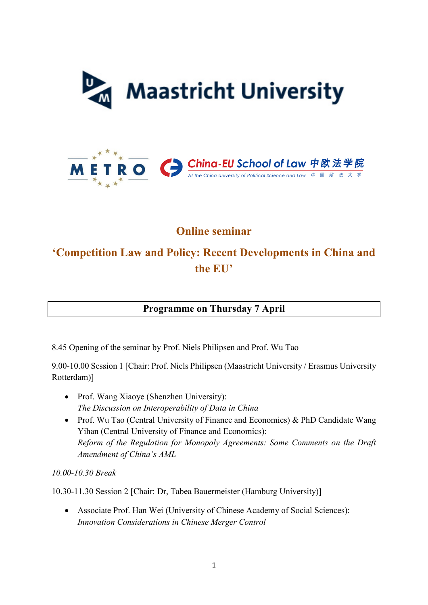



## **Online seminar**

# **'Competition Law and Policy: Recent Developments in China and the EU'**

**Programme on Thursday 7 April**

8.45 Opening of the seminar by Prof. Niels Philipsen and Prof. Wu Tao

9.00-10.00 Session 1 [Chair: Prof. Niels Philipsen (Maastricht University / Erasmus University Rotterdam)]

- Prof. Wang Xiaoye (Shenzhen University): *The Discussion on Interoperability of Data in China*
- Prof. Wu Tao (Central University of Finance and Economics) & PhD Candidate Wang Yihan (Central University of Finance and Economics): *Reform of the Regulation for Monopoly Agreements: Some Comments on the Draft Amendment of China's AML*

*10.00-10.30 Break* 

10.30-11.30 Session 2 [Chair: Dr, Tabea Bauermeister (Hamburg University)]

• Associate Prof. Han Wei (University of Chinese Academy of Social Sciences): *Innovation Considerations in Chinese Merger Control*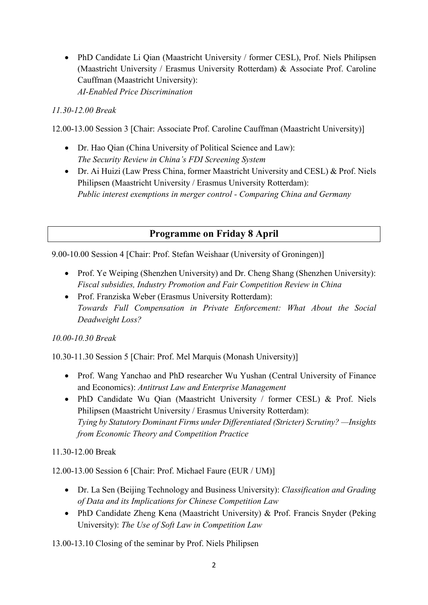• PhD Candidate Li Qian (Maastricht University / former CESL), Prof. Niels Philipsen (Maastricht University / Erasmus University Rotterdam) & Associate Prof. Caroline Cauffman (Maastricht University): *AI-Enabled Price Discrimination* 

### *11.30-12.00 Break*

12.00-13.00 Session 3 [Chair: Associate Prof. Caroline Cauffman (Maastricht University)]

- Dr. Hao Qian (China University of Political Science and Law): *The Security Review in China's FDI Screening System*
- Dr. Ai Huizi (Law Press China, former Maastricht University and CESL) & Prof. Niels Philipsen (Maastricht University / Erasmus University Rotterdam): *Public interest exemptions in merger control - Comparing China and Germany*

### **Programme on Friday 8 April**

9.00-10.00 Session 4 [Chair: Prof. Stefan Weishaar (University of Groningen)]

- Prof. Ye Weiping (Shenzhen University) and Dr. Cheng Shang (Shenzhen University): *Fiscal subsidies, Industry Promotion and Fair Competition Review in China*
- Prof. Franziska Weber (Erasmus University Rotterdam): *Towards Full Compensation in Private Enforcement: What About the Social Deadweight Loss?*

#### *10.00-10.30 Break*

10.30-11.30 Session 5 [Chair: Prof. Mel Marquis (Monash University)]

- Prof. Wang Yanchao and PhD researcher Wu Yushan (Central University of Finance and Economics): *Antitrust Law and Enterprise Management*
- PhD Candidate Wu Qian (Maastricht University / former CESL) & Prof. Niels Philipsen (Maastricht University / Erasmus University Rotterdam): *Tying by Statutory Dominant Firms under Differentiated (Stricter) Scrutiny? —Insights from Economic Theory and Competition Practice*

11.30-12.00 Break

12.00-13.00 Session 6 [Chair: Prof. Michael Faure (EUR / UM)]

- Dr. La Sen (Beijing Technology and Business University): *Classification and Grading of Data and its Implications for Chinese Competition Law*
- PhD Candidate Zheng Kena (Maastricht University) & Prof. Francis Snyder (Peking University): *The Use of Soft Law in Competition Law*

13.00-13.10 Closing of the seminar by Prof. Niels Philipsen